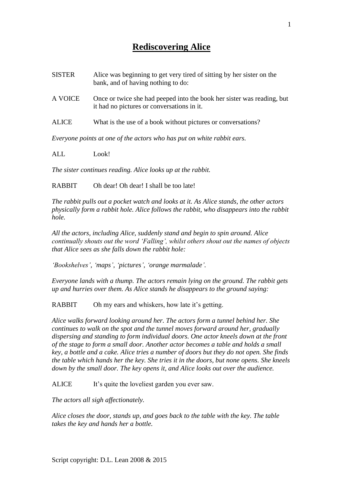1

## **Rediscovering Alice**

| SISTER | Alice was beginning to get very tired of sitting by her sister on the<br>bank, and of having nothing to do: |  |
|--------|-------------------------------------------------------------------------------------------------------------|--|
|        |                                                                                                             |  |

- A VOICE Once or twice she had peeped into the book her sister was reading, but it had no pictures or conversations in it.
- ALICE What is the use of a book without pictures or conversations?

*Everyone points at one of the actors who has put on white rabbit ears.*

ALL Look!

*The sister continues reading. Alice looks up at the rabbit.*

RABBIT Oh dear! Oh dear! I shall be too late!

*The rabbit pulls out a pocket watch and looks at it. As Alice stands, the other actors physically form a rabbit hole. Alice follows the rabbit, who disappears into the rabbit hole.*

*All the actors, including Alice, suddenly stand and begin to spin around. Alice continually shouts out the word 'Falling', whilst others shout out the names of objects that Alice sees as she falls down the rabbit hole:*

*'Bookshelves', 'maps', 'pictures', 'orange marmalade'.*

*Everyone lands with a thump. The actors remain lying on the ground. The rabbit gets up and hurries over them. As Alice stands he disappears to the ground saying:*

RABBIT Oh my ears and whiskers, how late it's getting.

*Alice walks forward looking around her. The actors form a tunnel behind her. She continues to walk on the spot and the tunnel moves forward around her, gradually dispersing and standing to form individual doors. One actor kneels down at the front of the stage to form a small door. Another actor becomes a table and holds a small key, a bottle and a cake. Alice tries a number of doors but they do not open. She finds the table which hands her the key. She tries it in the doors, but none opens. She kneels down by the small door. The key opens it, and Alice looks out over the audience.*

ALICE It's quite the loveliest garden you ever saw.

*The actors all sigh affectionately.*

*Alice closes the door, stands up, and goes back to the table with the key. The table takes the key and hands her a bottle.*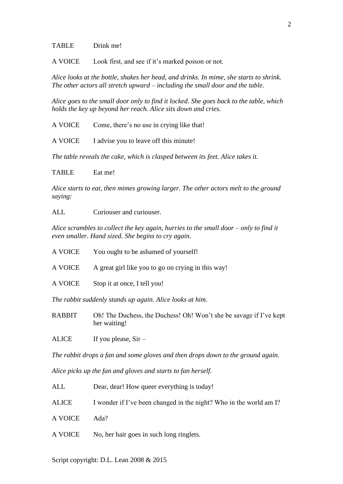## TABLE Drink me!

A VOICE Look first, and see if it's marked poison or not.

*Alice looks at the bottle, shakes her head, and drinks. In mime, she starts to shrink. The other actors all stretch upward – including the small door and the table.*

*Alice goes to the small door only to find it locked. She goes back to the table, which holds the key up beyond her reach. Alice sits down and cries.*

A VOICE Come, there's no use in crying like that!

A VOICE I advise you to leave off this minute!

*The table reveals the cake, which is clasped between its feet. Alice takes it.*

TABLE Eat me!

*Alice starts to eat, then mimes growing larger. The other actors melt to the ground saying:*

ALL Curiouser and curiouser.

*Alice scrambles to collect the key again, hurries to the small door – only to find it even smaller. Hand sized. She begins to cry again.*

- A VOICE You ought to be ashamed of yourself!
- A VOICE A great girl like you to go on crying in this way!
- A VOICE Stop it at once, I tell you!

*The rabbit suddenly stands up again. Alice looks at him.*

RABBIT Oh! The Duchess, the Duchess! Oh! Won't she be savage if I've kept her waiting!

ALICE If you please,  $Sir -$ 

*The rabbit drops a fan and some gloves and then drops down to the ground again.*

*Alice picks up the fan and gloves and starts to fan herself.*

- ALL Dear, dear! How queer everything is today!
- ALICE I wonder if I've been changed in the night? Who in the world am I?

A VOICE Ada?

A VOICE No, her hair goes in such long ringlets.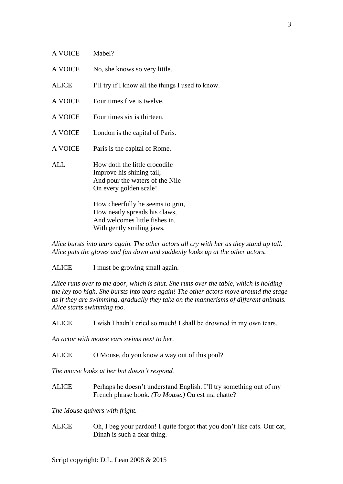| A VOICE        | Mabel?                                                                                                                  |
|----------------|-------------------------------------------------------------------------------------------------------------------------|
| <b>A VOICE</b> | No, she knows so very little.                                                                                           |
| <b>ALICE</b>   | I'll try if I know all the things I used to know.                                                                       |
| <b>A VOICE</b> | Four times five is twelve.                                                                                              |
| A VOICE        | Four times six is thirteen.                                                                                             |
| <b>A VOICE</b> | London is the capital of Paris.                                                                                         |
| A VOICE        | Paris is the capital of Rome.                                                                                           |
| ALL.           | How doth the little crocodile<br>Improve his shining tail,<br>And pour the waters of the Nile<br>On every golden scale! |
|                | How cheerfully he seems to grin,<br>How neatly spreads his claws,<br>And welcomes little fishes in,                     |

With gently smiling jaws.

*Alice bursts into tears again. The other actors all cry with her as they stand up tall. Alice puts the gloves and fan down and suddenly looks up at the other actors.*

ALICE I must be growing small again.

*Alice runs over to the door, which is shut. She runs over the table, which is holding the key too high. She bursts into tears again! The other actors move around the stage as if they are swimming, gradually they take on the mannerisms of different animals. Alice starts swimming too.*

ALICE I wish I hadn't cried so much! I shall be drowned in my own tears.

*An actor with mouse ears swims next to her.*

ALICE O Mouse, do you know a way out of this pool?

*The mouse looks at her but doesn't respond.*

ALICE Perhaps he doesn't understand English. I'll try something out of my French phrase book. *(To Mouse.)* Ou est ma chatte?

*The Mouse quivers with fright.*

ALICE Oh, I beg your pardon! I quite forgot that you don't like cats. Our cat, Dinah is such a dear thing.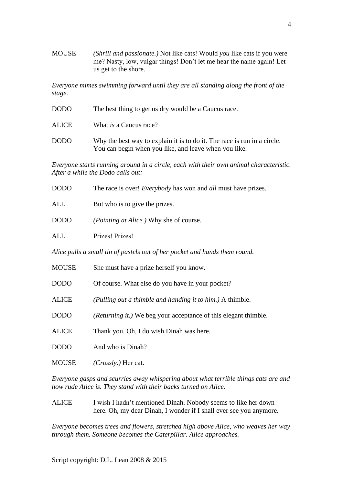MOUSE *(Shrill and passionate.)* Not like cats! Would *you* like cats if you were me? Nasty, low, vulgar things! Don't let me hear the name again! Let us get to the shore.

*Everyone mimes swimming forward until they are all standing along the front of the stage.*

| <b>DODO</b>  | The best thing to get us dry would be a Caucus race.                                                                              |
|--------------|-----------------------------------------------------------------------------------------------------------------------------------|
| <b>ALICE</b> | What <i>is</i> a Caucus race?                                                                                                     |
| <b>DODO</b>  | Why the best way to explain it is to do it. The race is run in a circle.<br>You can begin when you like, and leave when you like. |

*Everyone starts running around in a circle, each with their own animal characteristic. After a while the Dodo calls out:*

| <b>DODO</b>                                                                | The race is over! <i>Everybody</i> has won and <i>all</i> must have prizes. |  |
|----------------------------------------------------------------------------|-----------------------------------------------------------------------------|--|
| ALL                                                                        | But who is to give the prizes.                                              |  |
| <b>DODO</b>                                                                | <i>(Pointing at Alice.)</i> Why she of course.                              |  |
| ALL                                                                        | Prizes! Prizes!                                                             |  |
| Alice pulls a small tin of pastels out of her pocket and hands them round. |                                                                             |  |
| <b>MOUSE</b>                                                               | She must have a prize herself you know.                                     |  |
| <b>DODO</b>                                                                | Of course. What else do you have in your pocket?                            |  |
| <b>ALICE</b>                                                               | (Pulling out a thimble and handing it to him.) A thimble.                   |  |
| <b>DODO</b>                                                                | ( <i>Returning it.</i> ) We beg your acceptance of this elegant thimble.    |  |
| <b>ALICE</b>                                                               | Thank you. Oh, I do wish Dinah was here.                                    |  |

DODO And who is Dinah?

MOUSE *(Crossly.)* Her cat.

*Everyone gasps and scurries away whispering about what terrible things cats are and how rude Alice is. They stand with their backs turned on Alice.*

ALICE I wish I hadn't mentioned Dinah. Nobody seems to like her down here. Oh, my dear Dinah, I wonder if I shall ever see you anymore.

*Everyone becomes trees and flowers, stretched high above Alice, who weaves her way through them. Someone becomes the Caterpillar. Alice approaches.*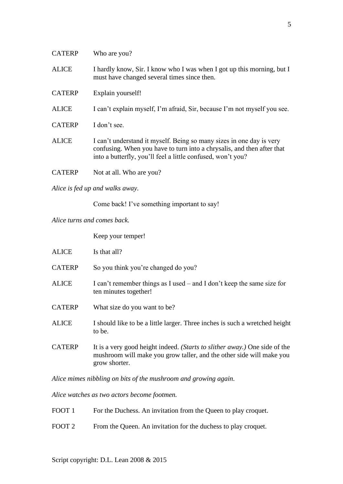| <b>CATERP</b> | Who are you?                                                                                                                                                                                                  |
|---------------|---------------------------------------------------------------------------------------------------------------------------------------------------------------------------------------------------------------|
| <b>ALICE</b>  | I hardly know, Sir. I know who I was when I got up this morning, but I<br>must have changed several times since then.                                                                                         |
| <b>CATERP</b> | Explain yourself!                                                                                                                                                                                             |
| <b>ALICE</b>  | I can't explain myself, I'm afraid, Sir, because I'm not myself you see.                                                                                                                                      |
| <b>CATERP</b> | I don't see.                                                                                                                                                                                                  |
| <b>ALICE</b>  | I can't understand it myself. Being so many sizes in one day is very<br>confusing. When you have to turn into a chrysalis, and then after that<br>into a butterfly, you'll feel a little confused, won't you? |
| <b>CATERP</b> | Not at all. Who are you?                                                                                                                                                                                      |

*Alice is fed up and walks away.*

Come back! I've something important to say!

*Alice turns and comes back.*

Keep your temper!

| <b>ALICE</b>  | Is that all?                                                                                                                                                        |
|---------------|---------------------------------------------------------------------------------------------------------------------------------------------------------------------|
| <b>CATERP</b> | So you think you're changed do you?                                                                                                                                 |
| <b>ALICE</b>  | I can't remember things as I used – and I don't keep the same size for<br>ten minutes together!                                                                     |
| <b>CATERP</b> | What size do you want to be?                                                                                                                                        |
| <b>ALICE</b>  | I should like to be a little larger. Three inches is such a wretched height<br>to be.                                                                               |
| <b>CATERP</b> | It is a very good height indeed. (Starts to slither away.) One side of the<br>mushroom will make you grow taller, and the other side will make you<br>grow shorter. |

*Alice mimes nibbling on bits of the mushroom and growing again.*

*Alice watches as two actors become footmen.*

| FOOT 1 | For the Duchess. An invitation from the Queen to play croquet. |  |  |  |
|--------|----------------------------------------------------------------|--|--|--|
|--------|----------------------------------------------------------------|--|--|--|

FOOT 2 From the Queen. An invitation for the duchess to play croquet.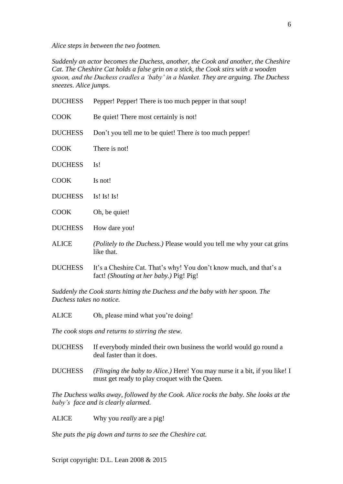*Alice steps in between the two footmen.*

*Suddenly an actor becomes the Duchess, another, the Cook and another, the Cheshire Cat. The Cheshire Cat holds a false grin on a stick, the Cook stirs with a wooden spoon, and the Duchess cradles a 'baby' in a blanket. They are arguing. The Duchess sneezes. Alice jumps.*

| <b>DUCHESS</b> | Pepper! Pepper! There is too much pepper in that soup!                                                        |
|----------------|---------------------------------------------------------------------------------------------------------------|
| <b>COOK</b>    | Be quiet! There most certainly is not!                                                                        |
| <b>DUCHESS</b> | Don't you tell me to be quiet! There is too much pepper!                                                      |
| <b>COOK</b>    | There is not!                                                                                                 |
| <b>DUCHESS</b> | Is!                                                                                                           |
| <b>COOK</b>    | Is not!                                                                                                       |
| <b>DUCHESS</b> | Is! Is! Is!                                                                                                   |
| <b>COOK</b>    | Oh, be quiet!                                                                                                 |
| <b>DUCHESS</b> | How dare you!                                                                                                 |
| <b>ALICE</b>   | (Politely to the Duchess.) Please would you tell me why your cat grins<br>like that.                          |
| <b>DUCHESS</b> | It's a Cheshire Cat. That's why! You don't know much, and that's a<br>fact! (Shouting at her baby.) Pig! Pig! |
|                |                                                                                                               |

*Suddenly the Cook starts hitting the Duchess and the baby with her spoon. The Duchess takes no notice.*

ALICE Oh, please mind what you're doing!

*The cook stops and returns to stirring the stew.*

- DUCHESS If everybody minded their own business the world would go round a deal faster than it does.
- DUCHESS *(Flinging the baby to Alice.)* Here! You may nurse it a bit, if you like! I must get ready to play croquet with the Queen.

*The Duchess walks away, followed by the Cook. Alice rocks the baby. She looks at the baby's face and is clearly alarmed.*

ALICE Why you *really* are a pig!

*She puts the pig down and turns to see the Cheshire cat.*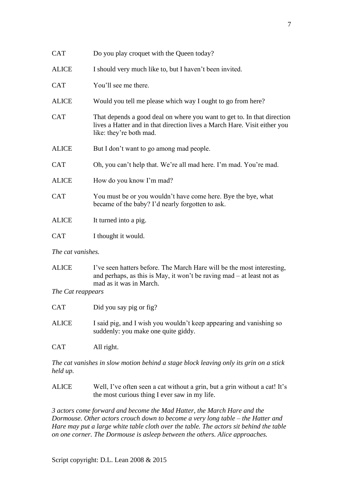| <b>CAT</b>        | Do you play croquet with the Queen today?                                                                                                                                       |  |
|-------------------|---------------------------------------------------------------------------------------------------------------------------------------------------------------------------------|--|
| <b>ALICE</b>      | I should very much like to, but I haven't been invited.                                                                                                                         |  |
| <b>CAT</b>        | You'll see me there.                                                                                                                                                            |  |
| <b>ALICE</b>      | Would you tell me please which way I ought to go from here?                                                                                                                     |  |
| <b>CAT</b>        | That depends a good deal on where you want to get to. In that direction<br>lives a Hatter and in that direction lives a March Hare. Visit either you<br>like: they're both mad. |  |
| <b>ALICE</b>      | But I don't want to go among mad people.                                                                                                                                        |  |
| <b>CAT</b>        | Oh, you can't help that. We're all mad here. I'm mad. You're mad.                                                                                                               |  |
| <b>ALICE</b>      | How do you know I'm mad?                                                                                                                                                        |  |
| <b>CAT</b>        | You must be or you wouldn't have come here. Bye the bye, what<br>became of the baby? I'd nearly forgotten to ask.                                                               |  |
| <b>ALICE</b>      | It turned into a pig.                                                                                                                                                           |  |
| <b>CAT</b>        | I thought it would.                                                                                                                                                             |  |
| The cat vanishes. |                                                                                                                                                                                 |  |

ALICE I've seen hatters before. The March Hare will be the most interesting, and perhaps, as this is May, it won't be raving mad – at least not as mad as it was in March.

*The Cat reappears*

- CAT Did you say pig or fig?
- ALICE I said pig, and I wish you wouldn't keep appearing and vanishing so suddenly: you make one quite giddy.

CAT All right.

*The cat vanishes in slow motion behind a stage block leaving only its grin on a stick held up.*

ALICE Well, I've often seen a cat without a grin, but a grin without a cat! It's the most curious thing I ever saw in my life.

*3 actors come forward and become the Mad Hatter, the March Hare and the Dormouse. Other actors crouch down to become a very long table – the Hatter and Hare may put a large white table cloth over the table. The actors sit behind the table on one corner. The Dormouse is asleep between the others. Alice approaches.*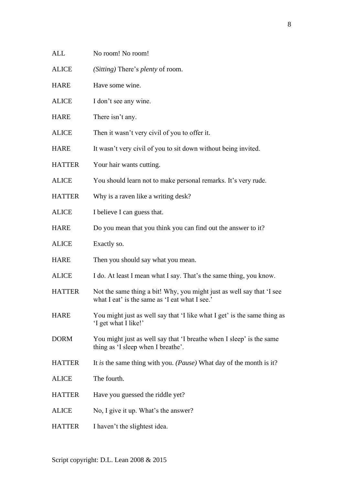- ALL No room! No room!
- ALICE *(Sitting)* There's *plenty* of room.
- HARE Have some wine.
- ALICE I don't see any wine.
- HARE There isn't any.
- ALICE Then it wasn't very civil of you to offer it.
- HARE It wasn't very civil of you to sit down without being invited.
- HATTER Your hair wants cutting.
- ALICE You should learn not to make personal remarks. It's very rude.
- HATTER Why is a raven like a writing desk?
- ALICE I believe I can guess that.
- HARE Do you mean that you think you can find out the answer to it?
- ALICE Exactly so.
- HARE Then you should say what you mean.
- ALICE I do. At least I mean what I say. That's the same thing, you know.
- HATTER Not the same thing a bit! Why, you might just as well say that 'I see what I eat' is the same as 'I eat what I see.'
- HARE You might just as well say that 'I like what I get' is the same thing as 'I get what I like!'
- DORM You might just as well say that 'I breathe when I sleep' is the same thing as 'I sleep when I breathe'.
- HATTER It *is* the same thing with you. *(Pause)* What day of the month is it?
- ALICE The fourth.
- HATTER Have you guessed the riddle yet?
- ALICE No, I give it up. What's the answer?
- HATTER I haven't the slightest idea.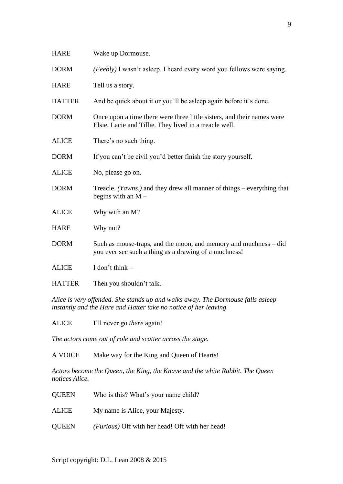| <b>HARE</b>   | Wake up Dormouse.                                                                                                                |
|---------------|----------------------------------------------------------------------------------------------------------------------------------|
| <b>DORM</b>   | (Feebly) I wasn't asleep. I heard every word you fellows were saying.                                                            |
| <b>HARE</b>   | Tell us a story.                                                                                                                 |
| <b>HATTER</b> | And be quick about it or you'll be asleep again before it's done.                                                                |
| <b>DORM</b>   | Once upon a time there were three little sisters, and their names were<br>Elsie, Lacie and Tillie. They lived in a treacle well. |
| <b>ALICE</b>  | There's no such thing.                                                                                                           |
| <b>DORM</b>   | If you can't be civil you'd better finish the story yourself.                                                                    |
| <b>ALICE</b>  | No, please go on.                                                                                                                |
| <b>DORM</b>   | Treacle. <i>(Yawns.)</i> and they drew all manner of things – everything that<br>begins with an $M -$                            |
| <b>ALICE</b>  | Why with an M?                                                                                                                   |
| <b>HARE</b>   | Why not?                                                                                                                         |
| <b>DORM</b>   | Such as mouse-traps, and the moon, and memory and muchness – did<br>you ever see such a thing as a drawing of a muchness!        |
| <b>ALICE</b>  | I don't think $-$                                                                                                                |
| <b>HATTER</b> | Then you shouldn't talk.                                                                                                         |

*Alice is very offended. She stands up and walks away. The Dormouse falls asleep instantly and the Hare and Hatter take no notice of her leaving.*

ALICE I'll never go *there* again!

*The actors come out of role and scatter across the stage.* 

A VOICE Make way for the King and Queen of Hearts!

*Actors become the Queen, the King, the Knave and the white Rabbit. The Queen notices Alice.*

- QUEEN Who is this? What's your name child?
- ALICE My name is Alice, your Majesty.
- QUEEN *(Furious)* Off with her head! Off with her head!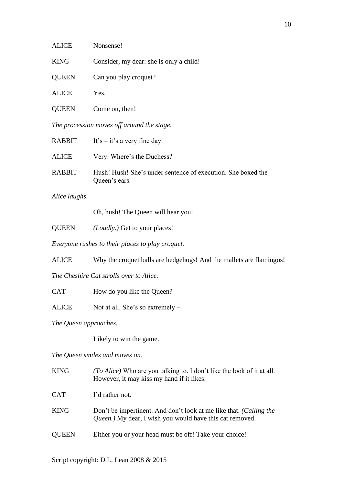| <b>ALICE</b> | Nonsense!                               |
|--------------|-----------------------------------------|
| <b>KING</b>  | Consider, my dear: she is only a child! |
| <b>QUEEN</b> | Can you play croquet?                   |
| <b>ALICE</b> | Yes.                                    |
| <b>OUEEN</b> | Come on, then!                          |

*The procession moves off around the stage.*

| RABBIT        | It's $-$ it's a very fine day.                                                |
|---------------|-------------------------------------------------------------------------------|
| ALICE         | Very. Where's the Duchess?                                                    |
| <b>RABBIT</b> | Hush! Hush! She's under sentence of execution. She boxed the<br>Queen's ears. |

*Alice laughs.*

Oh, hush! The Queen will hear you!

QUEEN *(Loudly.)* Get to your places!

*Everyone rushes to their places to play croquet.*

ALICE Why the croquet balls are hedgehogs! And the mallets are flamingos!

*The Cheshire Cat strolls over to Alice.*

CAT How do you like the Queen?

ALICE Not at all. She's so extremely –

*The Queen approaches.*

Likely to win the game.

*The Queen smiles and moves on.*

| <b>KING</b>  | <i>(To Alice)</i> Who are you talking to. I don't like the look of it at all.<br>However, it may kiss my hand if it likes.     |
|--------------|--------------------------------------------------------------------------------------------------------------------------------|
| <b>CAT</b>   | I'd rather not.                                                                                                                |
| <b>KING</b>  | Don't be impertinent. And don't look at me like that. (Calling the<br>Queen.) My dear, I wish you would have this cat removed. |
| <b>QUEEN</b> | Either you or your head must be off! Take your choice!                                                                         |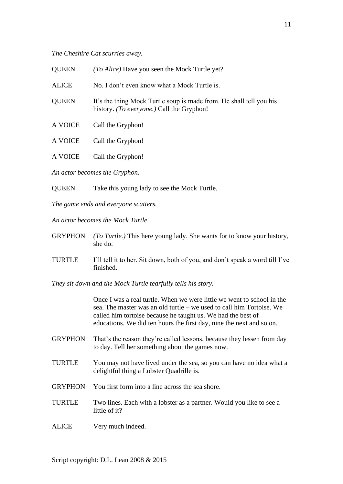*The Cheshire Cat scurries away.*

| <b>QUEEN</b>                  | <i>(To Alice)</i> Have you seen the Mock Turtle yet?                                                             |  |
|-------------------------------|------------------------------------------------------------------------------------------------------------------|--|
| <b>ALICE</b>                  | No. I don't even know what a Mock Turtle is.                                                                     |  |
| <b>QUEEN</b>                  | It's the thing Mock Turtle soup is made from. He shall tell you his<br>history. (To everyone.) Call the Gryphon! |  |
| A VOICE                       | Call the Gryphon!                                                                                                |  |
| A VOICE                       | Call the Gryphon!                                                                                                |  |
| A VOICE                       | Call the Gryphon!                                                                                                |  |
| An actor becomes the Gryphon. |                                                                                                                  |  |

QUEEN Take this young lady to see the Mock Turtle.

*The game ends and everyone scatters.*

*An actor becomes the Mock Turtle.*

- GRYPHON *(To Turtle.)* This here young lady. She wants for to know your history, she do.
- TURTLE I'll tell it to her. Sit down, both of you, and don't speak a word till I've finished.

*They sit down and the Mock Turtle tearfully tells his story.*

Once I was a real turtle. When we were little we went to school in the sea. The master was an old turtle – we used to call him Tortoise. We called him tortoise because he taught us. We had the best of educations. We did ten hours the first day, nine the next and so on.

- GRYPHON That's the reason they're called lessons, because they lessen from day to day. Tell her something about the games now.
- TURTLE You may not have lived under the sea, so you can have no idea what a delightful thing a Lobster Quadrille is.
- GRYPHON You first form into a line across the sea shore.
- TURTLE Two lines. Each with a lobster as a partner. Would you like to see a little of it?
- ALICE Very much indeed.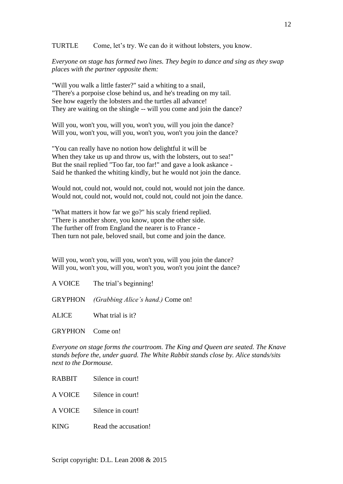TURTLE Come, let's try. We can do it without lobsters, you know.

*Everyone on stage has formed two lines. They begin to dance and sing as they swap places with the partner opposite them:*

"Will you walk a little faster?" said a whiting to a snail, "There's a porpoise close behind us, and he's treading on my tail. See how eagerly the lobsters and the turtles all advance! They are waiting on the shingle -- will you come and join the dance?

Will you, won't you, will you, won't you, will you join the dance? Will you, won't you, will you, won't you, won't you join the dance?

"You can really have no notion how delightful it will be When they take us up and throw us, with the lobsters, out to sea!" But the snail replied "Too far, too far!" and gave a look askance - Said he thanked the whiting kindly, but he would not join the dance.

Would not, could not, would not, could not, would not join the dance. Would not, could not, would not, could not, could not join the dance.

"What matters it how far we go?" his scaly friend replied. "There is another shore, you know, upon the other side. The further off from England the nearer is to France - Then turn not pale, beloved snail, but come and join the dance.

Will you, won't you, will you, won't you, will you join the dance? Will you, won't you, will you, won't you, won't you joint the dance?

A VOICE The trial's beginning!

GRYPHON *(Grabbing Alice's hand.)* Come on!

ALICE What trial is it?

GRYPHON Come on!

*Everyone on stage forms the courtroom. The King and Queen are seated. The Knave stands before the, under guard. The White Rabbit stands close by. Alice stands/sits next to the Dormouse.*

- RABBIT Silence in court!
- A VOICE Silence in court!
- A VOICE Silence in court!
- KING Read the accusation!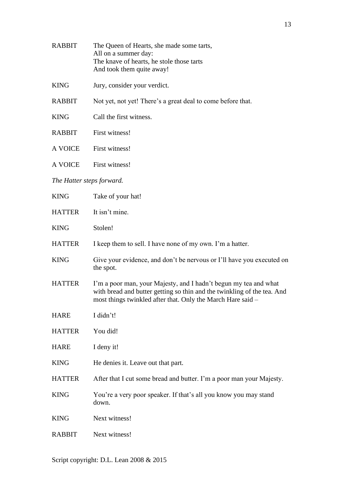| <b>RABBIT</b>             | The Queen of Hearts, she made some tarts,<br>All on a summer day:<br>The knave of hearts, he stole those tarts<br>And took them quite away!                                                                |  |
|---------------------------|------------------------------------------------------------------------------------------------------------------------------------------------------------------------------------------------------------|--|
| <b>KING</b>               | Jury, consider your verdict.                                                                                                                                                                               |  |
| <b>RABBIT</b>             | Not yet, not yet! There's a great deal to come before that.                                                                                                                                                |  |
| <b>KING</b>               | Call the first witness.                                                                                                                                                                                    |  |
| <b>RABBIT</b>             | First witness!                                                                                                                                                                                             |  |
| A VOICE                   | First witness!                                                                                                                                                                                             |  |
| <b>A VOICE</b>            | First witness!                                                                                                                                                                                             |  |
| The Hatter steps forward. |                                                                                                                                                                                                            |  |
| <b>KING</b>               | Take of your hat!                                                                                                                                                                                          |  |
| <b>HATTER</b>             | It isn't mine.                                                                                                                                                                                             |  |
| <b>KING</b>               | Stolen!                                                                                                                                                                                                    |  |
| <b>HATTER</b>             | I keep them to sell. I have none of my own. I'm a hatter.                                                                                                                                                  |  |
| <b>KING</b>               | Give your evidence, and don't be nervous or I'll have you executed on<br>the spot.                                                                                                                         |  |
| <b>HATTER</b>             | I'm a poor man, your Majesty, and I hadn't begun my tea and what<br>with bread and butter getting so thin and the twinkling of the tea. And<br>most things twinkled after that. Only the March Hare said - |  |
| <b>HARE</b>               | I didn't!                                                                                                                                                                                                  |  |
| <b>HATTER</b>             | You did!                                                                                                                                                                                                   |  |
| <b>HARE</b>               | I deny it!                                                                                                                                                                                                 |  |
| <b>KING</b>               | He denies it. Leave out that part.                                                                                                                                                                         |  |
| <b>HATTER</b>             | After that I cut some bread and butter. I'm a poor man your Majesty.                                                                                                                                       |  |
| <b>KING</b>               | You're a very poor speaker. If that's all you know you may stand<br>down.                                                                                                                                  |  |
| <b>KING</b>               | Next witness!                                                                                                                                                                                              |  |
| <b>RABBIT</b>             | Next witness!                                                                                                                                                                                              |  |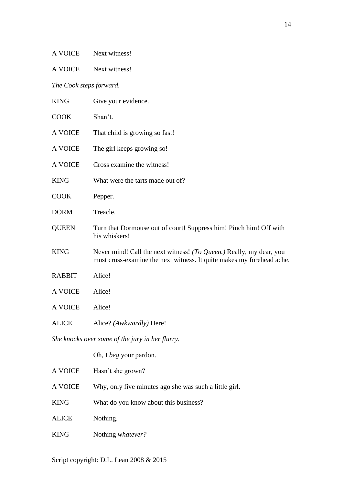A VOICE Next witness!

A VOICE Next witness!

*The Cook steps forward.*

| <b>KING</b>                                     | Give your evidence.                                                                                                                          |  |
|-------------------------------------------------|----------------------------------------------------------------------------------------------------------------------------------------------|--|
| <b>COOK</b>                                     | Shan't.                                                                                                                                      |  |
| A VOICE                                         | That child is growing so fast!                                                                                                               |  |
| A VOICE                                         | The girl keeps growing so!                                                                                                                   |  |
| A VOICE                                         | Cross examine the witness!                                                                                                                   |  |
| <b>KING</b>                                     | What were the tarts made out of?                                                                                                             |  |
| <b>COOK</b>                                     | Pepper.                                                                                                                                      |  |
| <b>DORM</b>                                     | Treacle.                                                                                                                                     |  |
| <b>QUEEN</b>                                    | Turn that Dormouse out of court! Suppress him! Pinch him! Off with<br>his whiskers!                                                          |  |
| <b>KING</b>                                     | Never mind! Call the next witness! (To Queen.) Really, my dear, you<br>must cross-examine the next witness. It quite makes my forehead ache. |  |
| <b>RABBIT</b>                                   | Alice!                                                                                                                                       |  |
| A VOICE                                         | Alice!                                                                                                                                       |  |
| A VOICE                                         | Alice!                                                                                                                                       |  |
| <b>ALICE</b>                                    | Alice? (Awkwardly) Here!                                                                                                                     |  |
| She knocks over some of the jury in her flurry. |                                                                                                                                              |  |
|                                                 | Oh, I beg your pardon.                                                                                                                       |  |
| A VOICE                                         | Hasn't she grown?                                                                                                                            |  |
| A VOICE                                         | Why, only five minutes ago she was such a little girl.                                                                                       |  |
| <b>KING</b>                                     | What do you know about this business?                                                                                                        |  |
| <b>ALICE</b>                                    | Nothing.                                                                                                                                     |  |

KING Nothing *whatever?*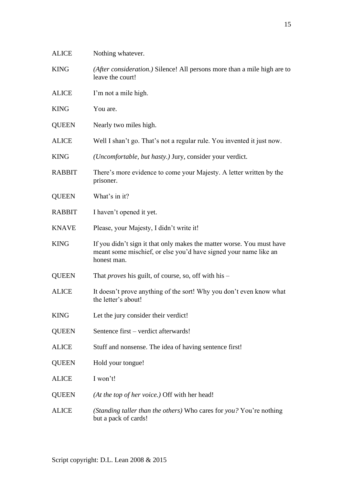| <b>ALICE</b>  | Nothing whatever.                                                                                                                                        |
|---------------|----------------------------------------------------------------------------------------------------------------------------------------------------------|
| <b>KING</b>   | (After consideration.) Silence! All persons more than a mile high are to<br>leave the court!                                                             |
| <b>ALICE</b>  | I'm not a mile high.                                                                                                                                     |
| <b>KING</b>   | You are.                                                                                                                                                 |
| <b>QUEEN</b>  | Nearly two miles high.                                                                                                                                   |
| <b>ALICE</b>  | Well I shan't go. That's not a regular rule. You invented it just now.                                                                                   |
| <b>KING</b>   | (Uncomfortable, but hasty.) Jury, consider your verdict.                                                                                                 |
| <b>RABBIT</b> | There's more evidence to come your Majesty. A letter written by the<br>prisoner.                                                                         |
| <b>QUEEN</b>  | What's in it?                                                                                                                                            |
| <b>RABBIT</b> | I haven't opened it yet.                                                                                                                                 |
| <b>KNAVE</b>  | Please, your Majesty, I didn't write it!                                                                                                                 |
| <b>KING</b>   | If you didn't sign it that only makes the matter worse. You must have<br>meant some mischief, or else you'd have signed your name like an<br>honest man. |
| <b>QUEEN</b>  | That <i>proves</i> his guilt, of course, so, off with his –                                                                                              |
| <b>ALICE</b>  | It doesn't prove anything of the sort! Why you don't even know what<br>the letter's about!                                                               |
| <b>KING</b>   | Let the jury consider their verdict!                                                                                                                     |
| <b>QUEEN</b>  | Sentence first – verdict afterwards!                                                                                                                     |
| <b>ALICE</b>  | Stuff and nonsense. The idea of having sentence first!                                                                                                   |
| <b>QUEEN</b>  | Hold your tongue!                                                                                                                                        |
| <b>ALICE</b>  | I won't!                                                                                                                                                 |
| <b>QUEEN</b>  | (At the top of her voice.) Off with her head!                                                                                                            |
| <b>ALICE</b>  | (Standing taller than the others) Who cares for you? You're nothing<br>but a pack of cards!                                                              |